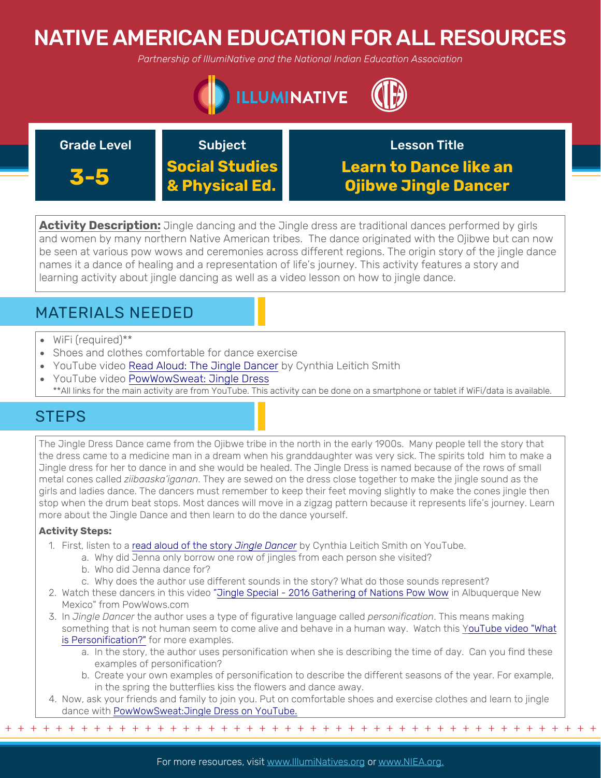# NATIVE AMERICAN EDUCATION FOR ALL RESOURCES

*Partnership of IllumiNative and the National Indian Education Association*



### Grade Level **Subject**

Lesson Title

**3-5 Social Studies & Physical Ed.**

**Learn to Dance like an Ojibwe Jingle Dancer**

**Activity Description:** Jingle dancing and the Jingle dress are traditional dances performed by girls and women by many northern Native American tribes. The dance originated with the Ojibwe but can now be seen at various pow wows and ceremonies across different regions. The origin story of the jingle dance names it a dance of healing and a representation of life's journey. This activity features a story and learning activity about jingle dancing as well as a video lesson on how to jingle dance.

## MATERIALS NEEDED

- WiFi (required)\*\*
- Shoes and clothes comfortable for dance exercise
- YouTube video [Read Aloud: The Jingle Dancer](https://www.youtube.com/watch?v=3JoZFAgDoRQ) by Cynthia Leitich Smith
- YouTube video PowWowSweat: Jingle Dress
- [\\*\\*All links for the main activity are from YouTube. This activity can be done on a smartphone or tablet if WiFi/data is available.](https://www.youtube.com/watch?v=vS9-ZlX7KE8)

## **STEPS**

The Jingle Dress Dance came from the Ojibwe tribe in the north in the early 1900s. Many people tell the story that the dress came to a medicine man in a dream when his granddaughter was very sick. The spirits told him to make a Jingle dress for her to dance in and she would be healed. The Jingle Dress is named because of the rows of small metal cones called *ziibaaska'iganan*. They are sewed on the dress close together to make the jingle sound as the girls and ladies dance. The dancers must remember to keep their feet moving slightly to make the cones jingle then stop when the drum beat stops. Most dances will move in a zigzag pattern because it represents life's journey. Learn more about the Jingle Dance and then learn to do the dance yourself.

#### **Activity Steps:**

- 1. First, listen to a [read aloud of the story](https://www.youtube.com/watch?v=3JoZFAgDoRQ) *Jingle Dancer* by Cynthia Leitich Smith on YouTube.
	- a. Why did Jenna only borrow one row of jingles from each person she visited?
	- b. Who did Jenna dance for?
	- c. Why does the author use different sounds in the story? What do those sounds represent?
- 2. Watch these dancers in this video ["Jingle Special 2016 Gathering of Nations Pow Wow](https://www.youtube.com/watch?v=lGfA82hTwGw%20) in Albuquerque New Mexico" from PowWows.com
- 3. In *Jingle Dancer* the author uses a type of figurative language called *personification*. This means making [something that is not human seem to come alive and behave in a human way. Watch this YouTube video "What](https://www.youtube.com/watch?v=YhleJRpyb-Y) is Personification?" for more examples.
	- a. In the story, the author uses personification when she is describing the time of day. Can you find these examples of personification?
	- b. Create your own examples of personification to describe the different seasons of the year. For example, in the spring the butterflies kiss the flowers and dance away.

+ + + + + + + + + + + + + + + + + + + + + + + + + + + + + + + + + + + + + + + + + + + + + + + +

4. Now, ask your friends and family to join you. Put on comfortable shoes and exercise clothes and learn to jingle dance with [PowWowSweat:Jingle Dress on YouTube.](https://www.youtube.com/watch?v=vS9-ZlX7KE8)